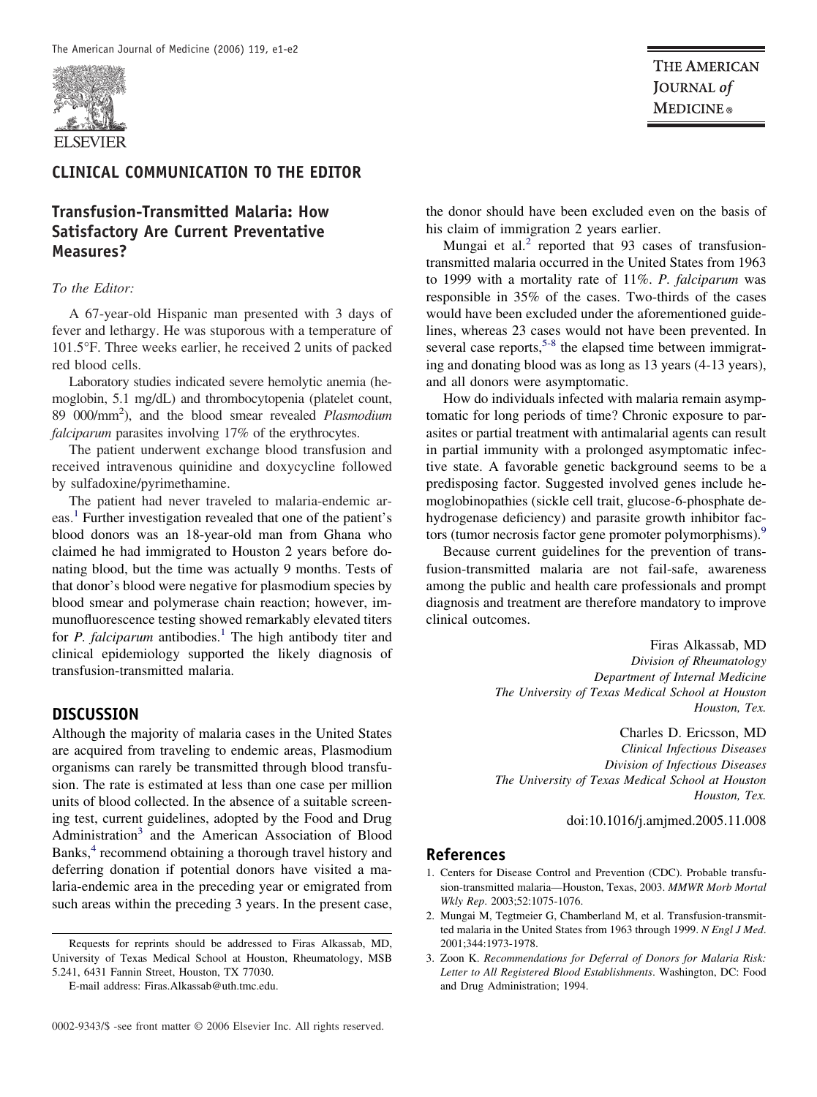

## **CLINICAL COMMUNICATION TO THE EDITOR**

# **Transfusion-Transmitted Malaria: How Satisfactory Are Current Preventative Measures?**

#### *To the Editor:*

A 67-year-old Hispanic man presented with 3 days of fever and lethargy. He was stuporous with a temperature of 101.5°F. Three weeks earlier, he received 2 units of packed red blood cells.

Laboratory studies indicated severe hemolytic anemia (hemoglobin, 5.1 mg/dL) and thrombocytopenia (platelet count, 89 000/mm2 ), and the blood smear revealed *Plasmodium falciparum* parasites involving 17% of the erythrocytes.

The patient underwent exchange blood transfusion and received intravenous quinidine and doxycycline followed by sulfadoxine/pyrimethamine.

The patient had never traveled to malaria-endemic areas.<sup>1</sup> Further investigation revealed that one of the patient's blood donors was an 18-year-old man from Ghana who claimed he had immigrated to Houston 2 years before donating blood, but the time was actually 9 months. Tests of that donor's blood were negative for plasmodium species by blood smear and polymerase chain reaction; however, immunofluorescence testing showed remarkably elevated titers for *P. falciparum* antibodies.<sup>1</sup> The high antibody titer and clinical epidemiology supported the likely diagnosis of transfusion-transmitted malaria.

### **DISCUSSION**

Although the majority of malaria cases in the United States are acquired from traveling to endemic areas, Plasmodium organisms can rarely be transmitted through blood transfusion. The rate is estimated at less than one case per million units of blood collected. In the absence of a suitable screening test, current guidelines, adopted by the Food and Drug Administration<sup>3</sup> and the American Association of Blood Banks,<sup>4</sup> recommend obtaining a thorough travel history and deferring donation if potential donors have visited a malaria-endemic area in the preceding year or emigrated from such areas within the preceding 3 years. In the present case,

E-mail address: Firas.Alkassab@uth.tmc.edu.

**THE AMERICAN** JOURNAL of **MEDICINE**®

the donor should have been excluded even on the basis of his claim of immigration 2 years earlier.

Mungai et al.<sup>2</sup> reported that 93 cases of transfusiontransmitted malaria occurred in the United States from 1963 to 1999 with a mortality rate of 11%. *P. falciparum* was responsible in 35% of the cases. Two-thirds of the cases would have been excluded under the aforementioned guidelines, whereas 23 cases would not have been prevented. In several case reports,  $5-8$  the elapsed time between immigrating and donating blood was as long as 13 years (4-13 years), and all donors were asymptomatic.

How do individuals infected with malaria remain asymptomatic for long periods of time? Chronic exposure to parasites or partial treatment with antimalarial agents can result in partial immunity with a prolonged asymptomatic infective state. A favorable genetic background seems to be a predisposing factor. Suggested involved genes include hemoglobinopathies (sickle cell trait, glucose-6-phosphate dehydrogenase deficiency) and parasite growth inhibitor factors (tumor necrosis factor gene promoter polymorphisms).<sup>9</sup>

Because current guidelines for the prevention of transfusion-transmitted malaria are not fail-safe, awareness among the public and health care professionals and prompt diagnosis and treatment are therefore mandatory to improve clinical outcomes.

> Firas Alkassab, MD *Division of Rheumatology Department of Internal Medicine The University of Texas Medical School at Houston Houston, Tex.*

Charles D. Ericsson, MD *Clinical Infectious Diseases Division of Infectious Diseases The University of Texas Medical School at Houston Houston, Tex.*

doi:10.1016/j.amjmed.2005.11.008

#### **References**

- 1. Centers for Disease Control and Prevention (CDC). Probable transfusion-transmitted malaria—Houston, Texas, 2003. *MMWR Morb Mortal Wkly Rep*. 2003;52:1075-1076.
- 2. Mungai M, Tegtmeier G, Chamberland M, et al. Transfusion-transmitted malaria in the United States from 1963 through 1999. *N Engl J Med*. 2001;344:1973-1978.
- 3. Zoon K. *Recommendations for Deferral of Donors for Malaria Risk: Letter to All Registered Blood Establishments*. Washington, DC: Food and Drug Administration; 1994.

Requests for reprints should be addressed to Firas Alkassab, MD, University of Texas Medical School at Houston, Rheumatology, MSB 5.241, 6431 Fannin Street, Houston, TX 77030.